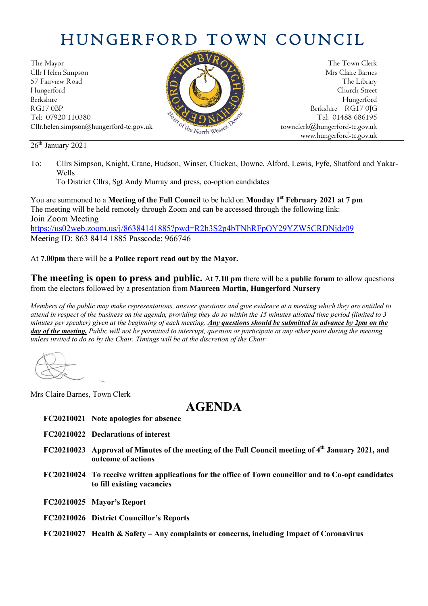## HUNGERFORD TOWN COUNCIL

The Mayor The Town Clerk Cllr Helen Simpson Mrs Claire Barnes 57 Fairview Road The Library (Contact of the Library The Library (Contact of the Library Church Street Hungerford Church Street Berkshire Hungerford RG17 0BP Berkshire RG17 0JG Tel: 07920 110380 Tel: 07920 110380 Tel: 07920 110380 Tel: 01488 686195 Cllr.helen.simpson@hungerford-tc.gov.uk [townclerk@hungerford-tc.gov.uk](mailto:townclerk@hungerford-tc.gov.uk)

26<sup>th</sup> January 2021



To District Cllrs, Sgt Andy Murray and press, co-option candidates

You are summoned to a **Meeting of the Full Council** to be held on **Monday 1 st February 2021 at 7 pm** The meeting will be held remotely through Zoom and can be accessed through the following link: Join Zoom Meeting <https://us02web.zoom.us/j/86384141885?pwd=R2h3S2p4bTNhRFpOY29YZW5CRDNjdz09> Meeting ID: 863 8414 1885 Passcode: 966746

## At **7.00pm** there will be **a Police report read out by the Mayor.**

**The meeting is open to press and public.** At **7.10 pm** there will be a **public forum** to allow questions from the electors followed by a presentation from **Maureen Martin, Hungerford Nursery**

*Members of the public may make representations, answer questions and give evidence at a meeting which they are entitled to attend in respect of the business on the agenda, providing they do so within the 15 minutes allotted time period (limited to 3 minutes per speaker) given at the beginning of each meeting. Any questions should be submitted in advance by 2pm on the day of the meeting. Public will not be permitted to interrupt, question or participate at any other point during the meeting unless invited to do so by the Chair. Timings will be at the discretion of the Chair*

Mrs Claire Barnes, Town Clerk

## **AGENDA**

- **FC20210021 Note apologies for absence**
- **FC20210022 Declarations of interest**
- **FC20210023 Approval of Minutes of the meeting of the Full Council meeting of 4 th January 2021, and outcome of actions**
- **FC20210024 To receive written applications for the office of Town councillor and to Co-opt candidates to fill existing vacancies**
- **FC20210025 Mayor's Report**
- **FC20210026 District Councillor's Reports**
- **FC20210027 Health & Safety – Any complaints or concerns, including Impact of Coronavirus**



www.hungerford-tc.gov.uk